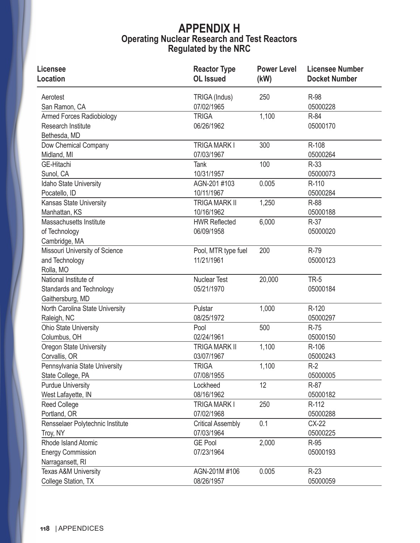## **APPENDIX H Operating Nuclear Research and Test Reactors Regulated by the NRC**

| <b>Licensee</b><br><b>Location</b> | <b>Reactor Type</b><br><b>OL</b> Issued | <b>Power Level</b><br>(kW) | <b>Licensee Number</b><br><b>Docket Number</b> |
|------------------------------------|-----------------------------------------|----------------------------|------------------------------------------------|
|                                    |                                         |                            |                                                |
| Aerotest                           | TRIGA (Indus)                           | 250                        | R-98                                           |
| San Ramon, CA                      | 07/02/1965                              |                            | 05000228                                       |
| <b>Armed Forces Radiobiology</b>   | <b>TRIGA</b>                            | 1,100                      | R-84                                           |
| <b>Research Institute</b>          | 06/26/1962                              |                            | 05000170                                       |
| Bethesda, MD                       |                                         |                            |                                                |
| Dow Chemical Company               | <b>TRIGA MARK I</b>                     | 300                        | R-108                                          |
| Midland, MI                        | 07/03/1967                              |                            | 05000264                                       |
| <b>GE-Hitachi</b>                  | Tank                                    | 100                        | R-33                                           |
| Sunol, CA                          | 10/31/1957                              |                            | 05000073                                       |
| Idaho State University             | AGN-201 #103                            | 0.005                      | R-110                                          |
| Pocatello, ID                      | 10/11/1967                              |                            | 05000284                                       |
| Kansas State University            | <b>TRIGA MARK II</b>                    | 1,250                      | R-88                                           |
| Manhattan, KS                      | 10/16/1962                              |                            | 05000188                                       |
| Massachusetts Institute            | <b>HWR Reflected</b>                    | 6,000                      | $R-37$                                         |
| of Technology                      | 06/09/1958                              |                            | 05000020                                       |
| Cambridge, MA                      |                                         |                            |                                                |
| Missouri University of Science     | Pool, MTR type fuel                     | 200                        | R-79                                           |
| and Technology                     | 11/21/1961                              |                            | 05000123                                       |
| Rolla, MO                          |                                         |                            |                                                |
| National Institute of              | <b>Nuclear Test</b>                     | 20,000                     | <b>TR-5</b>                                    |
| <b>Standards and Technology</b>    | 05/21/1970                              |                            | 05000184                                       |
| Gaithersburg, MD                   |                                         |                            |                                                |
| North Carolina State University    | Pulstar                                 | 1,000                      | R-120                                          |
| Raleigh, NC                        | 08/25/1972                              |                            | 05000297                                       |
| <b>Ohio State University</b>       | Pool                                    | 500                        | R-75                                           |
| Columbus, OH                       | 02/24/1961                              |                            | 05000150                                       |
| Oregon State University            | <b>TRIGA MARK II</b>                    | 1,100                      | R-106                                          |
| Corvallis, OR                      | 03/07/1967                              |                            | 05000243                                       |
| Pennsylvania State University      | <b>TRIGA</b>                            | 1,100                      | $R-2$                                          |
| State College, PA                  | 07/08/1955                              |                            | 05000005                                       |
| <b>Purdue University</b>           | Lockheed                                | 12                         | R-87                                           |
| West Lafayette, IN                 | 08/16/1962                              |                            | 05000182                                       |
| <b>Reed College</b>                | <b>TRIGA MARK I</b>                     | 250                        | R-112                                          |
| Portland, OR                       | 07/02/1968                              |                            | 05000288                                       |
| Rensselaer Polytechnic Institute   | <b>Critical Assembly</b>                | 0.1                        | CX-22                                          |
| Troy, NY                           | 07/03/1964                              |                            | 05000225                                       |
| Rhode Island Atomic                | <b>GE Pool</b>                          | 2,000                      | R-95                                           |
| <b>Energy Commission</b>           | 07/23/1964                              |                            | 05000193                                       |
| Narragansett, RI                   |                                         |                            |                                                |
| <b>Texas A&amp;M University</b>    | AGN-201M #106                           | 0.005                      | $R-23$                                         |
| College Station, TX                | 08/26/1957                              |                            | 05000059                                       |